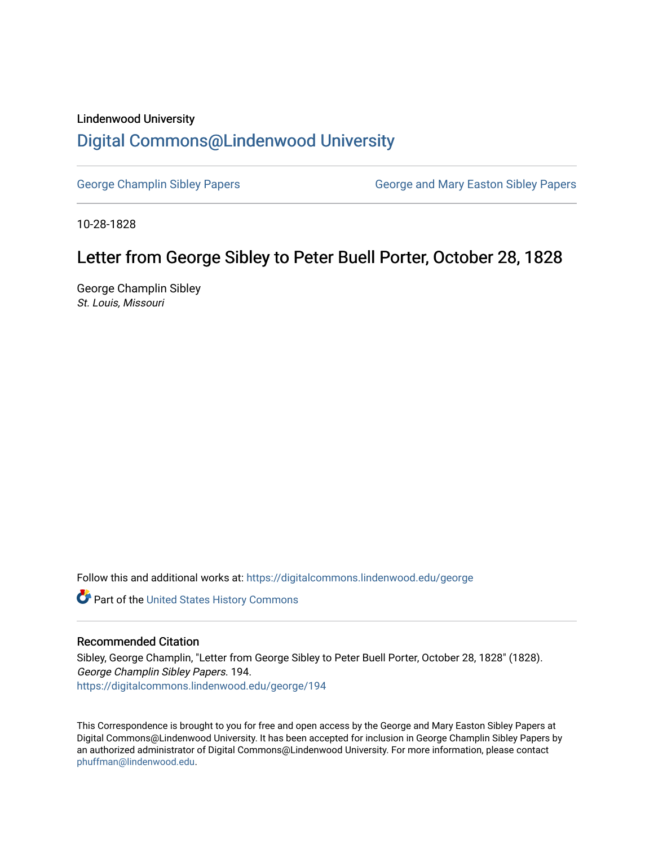## Lindenwood University

## [Digital Commons@Lindenwood University](https://digitalcommons.lindenwood.edu/)

[George Champlin Sibley Papers](https://digitalcommons.lindenwood.edu/george) George and Mary Easton Sibley Papers

10-28-1828

## Letter from George Sibley to Peter Buell Porter, October 28, 1828

George Champlin Sibley St. Louis, Missouri

Follow this and additional works at: [https://digitalcommons.lindenwood.edu/george](https://digitalcommons.lindenwood.edu/george?utm_source=digitalcommons.lindenwood.edu%2Fgeorge%2F194&utm_medium=PDF&utm_campaign=PDFCoverPages)

Part of the [United States History Commons](http://network.bepress.com/hgg/discipline/495?utm_source=digitalcommons.lindenwood.edu%2Fgeorge%2F194&utm_medium=PDF&utm_campaign=PDFCoverPages) 

## Recommended Citation

Sibley, George Champlin, "Letter from George Sibley to Peter Buell Porter, October 28, 1828" (1828). George Champlin Sibley Papers. 194. [https://digitalcommons.lindenwood.edu/george/194](https://digitalcommons.lindenwood.edu/george/194?utm_source=digitalcommons.lindenwood.edu%2Fgeorge%2F194&utm_medium=PDF&utm_campaign=PDFCoverPages)

This Correspondence is brought to you for free and open access by the George and Mary Easton Sibley Papers at Digital Commons@Lindenwood University. It has been accepted for inclusion in George Champlin Sibley Papers by an authorized administrator of Digital Commons@Lindenwood University. For more information, please contact [phuffman@lindenwood.edu](mailto:phuffman@lindenwood.edu).